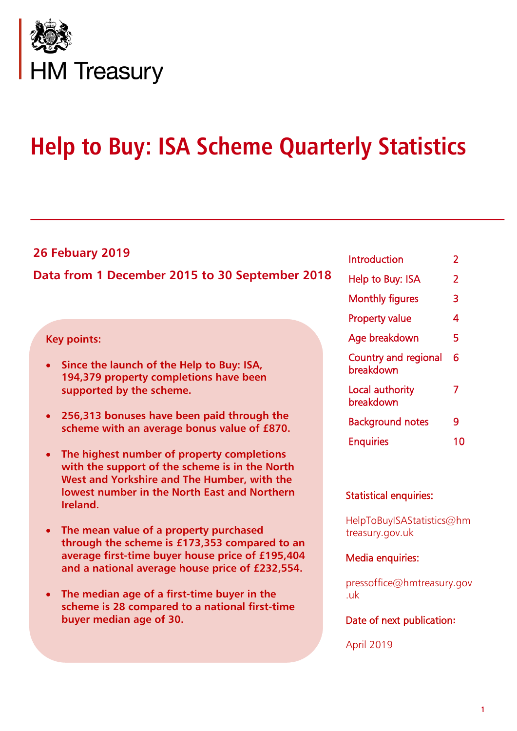

# **Help to Buy: ISA Scheme Quarterly Statistics**

# **26 Febuary 2019**

# **Data from 1 December 2015 to 30 September 2018**

### **Key points:**

- **Since the launch of the Help to Buy: ISA, 194,379 property completions have been supported by the scheme.**
- **256,313 bonuses have been paid through the scheme with an average bonus value of £870.**
- **The highest number of property completions with the support of the scheme is in the North West and Yorkshire and The Humber, with the lowest number in the North East and Northern Ireland.**
- **The mean value of a property purchased through the scheme is £173,353 compared to an average first-time buyer house price of £195,404 and a national average house price of £232,554.**
- **The median age of a first-time buyer in the scheme is 28 compared to a national first-time buyer median age of 30.**

| 2  |
|----|
| 2  |
| 3  |
| 4  |
| 5  |
| 6  |
| 7  |
| 9  |
| 10 |
|    |

#### Statistical enquiries:

HelpToBuyISAStatistics@hm treasury.gov.uk

#### Media enquiries:

pressoffice@hmtreasury.gov .uk

### Date of next publication**:**

April 2019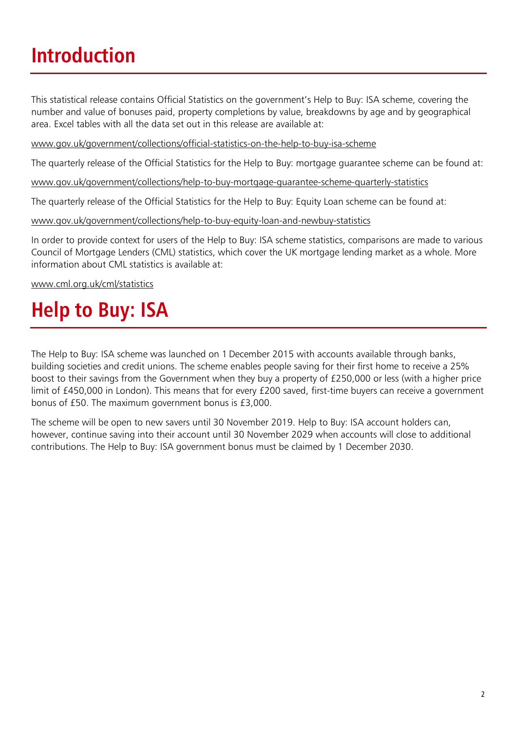# **Introduction**

This statistical release contains Official Statistics on the government's Help to Buy: ISA scheme, covering the number and value of bonuses paid, property completions by value, breakdowns by age and by geographical area. Excel tables with all the data set out in this release are available at:

[www.gov.uk/government/collections/official-statistics-on-the-help-to-buy-isa-scheme](http://www.gov.uk/government/collections/official-statistics-on-the-help-to-buy-isa-scheme)

The quarterly release of the Official Statistics for the Help to Buy: mortgage guarantee scheme can be found at:

[www.gov.uk/government/collections/help-to-buy-mortgage-guarantee-scheme-quarterly-statistics](http://www.gov.uk/government/collections/help-to-buy-mortgage-guarantee-scheme-quarterly-statistics)

The quarterly release of the Official Statistics for the Help to Buy: Equity Loan scheme can be found at:

[www.gov.uk/government/collections/help-to-buy-equity-loan-and-newbuy-statistics](http://www.gov.uk/government/collections/help-to-buy-equity-loan-and-newbuy-statistics)

In order to provide context for users of the Help to Buy: ISA scheme statistics, comparisons are made to various Council of Mortgage Lenders (CML) statistics, which cover the UK mortgage lending market as a whole. More information about CML statistics is available at:

[www.cml.org.uk/cml/statistics](http://www.cml.org.uk/cml/statistics)

# **Help to Buy: ISA**

The Help to Buy: ISA scheme was launched on 1 December 2015 with accounts available through banks, building societies and credit unions. The scheme enables people saving for their first home to receive a 25% boost to their savings from the Government when they buy a property of £250,000 or less (with a higher price limit of £450,000 in London). This means that for every £200 saved, first-time buyers can receive a government bonus of £50. The maximum government bonus is £3,000.

The scheme will be open to new savers until 30 November 2019. Help to Buy: ISA account holders can, however, continue saving into their account until 30 November 2029 when accounts will close to additional contributions. The Help to Buy: ISA government bonus must be claimed by 1 December 2030.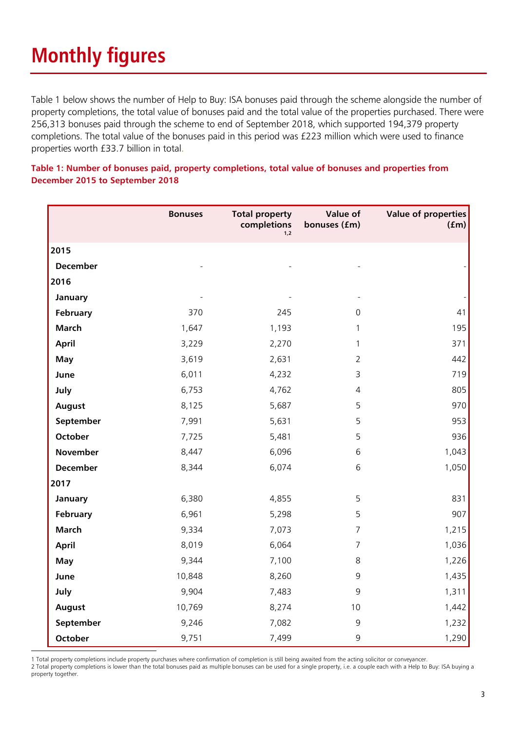# **Monthly figures**

Table 1 below shows the number of Help to Buy: ISA bonuses paid through the scheme alongside the number of property completions, the total value of bonuses paid and the total value of the properties purchased. There were 256,313 bonuses paid through the scheme to end of September 2018, which supported 194,379 property completions. The total value of the bonuses paid in this period was £223 million which were used to finance properties worth £33.7 billion in total.

|                 | <b>Bonuses</b> | <b>Total property</b><br>completions<br>1,2 | Value of<br>bonuses (fm) | <b>Value of properties</b><br>(fm) |
|-----------------|----------------|---------------------------------------------|--------------------------|------------------------------------|
| 2015            |                |                                             |                          |                                    |
| <b>December</b> |                |                                             |                          |                                    |
| 2016            |                |                                             |                          |                                    |
| January         |                |                                             |                          |                                    |
| February        | 370            | 245                                         | $\Omega$                 | 41                                 |
| <b>March</b>    | 1,647          | 1,193                                       | $\mathbf{1}$             | 195                                |
| <b>April</b>    | 3,229          | 2,270                                       | $\mathbf{1}$             | 371                                |
| May             | 3,619          | 2,631                                       | $\overline{2}$           | 442                                |
| June            | 6,011          | 4,232                                       | 3                        | 719                                |
| July            | 6,753          | 4,762                                       | $\overline{4}$           | 805                                |
| August          | 8,125          | 5,687                                       | 5                        | 970                                |
| September       | 7,991          | 5,631                                       | 5                        | 953                                |
| <b>October</b>  | 7,725          | 5,481                                       | 5                        | 936                                |
| November        | 8,447          | 6,096                                       | 6                        | 1,043                              |
| <b>December</b> | 8,344          | 6,074                                       | 6                        | 1,050                              |
| 2017            |                |                                             |                          |                                    |
| January         | 6,380          | 4,855                                       | 5                        | 831                                |
| February        | 6,961          | 5,298                                       | 5                        | 907                                |
| March           | 9,334          | 7,073                                       | $\overline{7}$           | 1,215                              |
| April           | 8,019          | 6,064                                       | $\overline{7}$           | 1,036                              |
| <b>May</b>      | 9,344          | 7,100                                       | 8                        | 1,226                              |
| June            | 10,848         | 8,260                                       | 9                        | 1,435                              |
| July            | 9,904          | 7,483                                       | 9                        | 1,311                              |
| August          | 10,769         | 8,274                                       | 10                       | 1,442                              |
| September       | 9,246          | 7,082                                       | 9                        | 1,232                              |
| October         | 9,751          | 7,499                                       | 9                        | 1,290                              |

#### **Table 1: Number of bonuses paid, property completions, total value of bonuses and properties from December 2015 to September 2018**

-1 Total property completions include property purchases where confirmation of completion is still being awaited from the acting solicitor or conveyancer.

2 Total property completions is lower than the total bonuses paid as multiple bonuses can be used for a single property, i.e. a couple each with a Help to Buy: ISA buying a property together.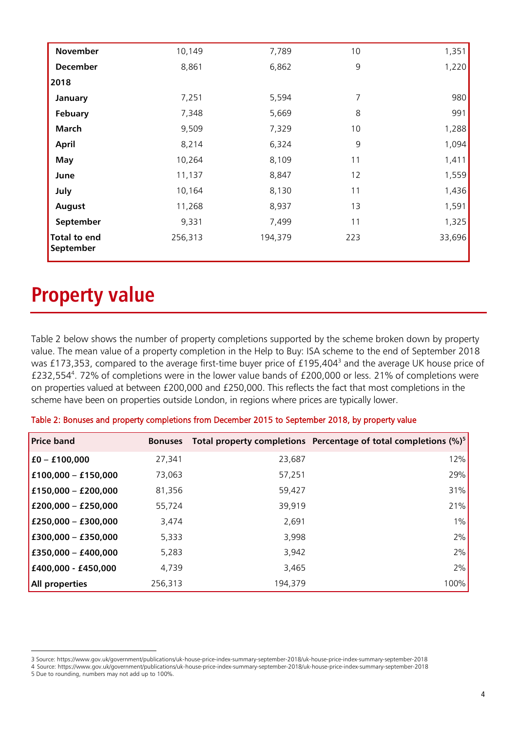| November                         | 10,149  | 7,789   | 10  | 1,351  |
|----------------------------------|---------|---------|-----|--------|
| <b>December</b>                  | 8,861   | 6,862   | 9   | 1,220  |
| 2018                             |         |         |     |        |
| January                          | 7,251   | 5,594   | 7   | 980    |
| Febuary                          | 7,348   | 5,669   | 8   | 991    |
| <b>March</b>                     | 9,509   | 7,329   | 10  | 1,288  |
| April                            | 8,214   | 6,324   | 9   | 1,094  |
| <b>May</b>                       | 10,264  | 8,109   | 11  | 1,411  |
| June                             | 11,137  | 8,847   | 12  | 1,559  |
| July                             | 10,164  | 8,130   | 11  | 1,436  |
| August                           | 11,268  | 8,937   | 13  | 1,591  |
| September                        | 9,331   | 7,499   | 11  | 1,325  |
| <b>Total to end</b><br>September | 256,313 | 194,379 | 223 | 33,696 |

# **Property value**

-

Table 2 below shows the number of property completions supported by the scheme broken down by property value. The mean value of a property completion in the Help to Buy: ISA scheme to the end of September 2018 was £173,353, compared to the average first-time buyer price of £195,404<sup>3</sup> and the average UK house price of £232,554 4 . 72% of completions were in the lower value bands of £200,000 or less. 21% of completions were on properties valued at between £200,000 and £250,000. This reflects the fact that most completions in the scheme have been on properties outside London, in regions where prices are typically lower.

| Table 2: Bonuses and property completions from December 2015 to September 2018, by property value |  |  |  |  |  |  |  |  |  |  |
|---------------------------------------------------------------------------------------------------|--|--|--|--|--|--|--|--|--|--|
|---------------------------------------------------------------------------------------------------|--|--|--|--|--|--|--|--|--|--|

| <b>Price band</b>     | <b>Bonuses</b> |         | Total property completions Percentage of total completions (%) <sup>5</sup> |
|-----------------------|----------------|---------|-----------------------------------------------------------------------------|
| $£0 - £100,000$       | 27,341         | 23,687  | 12%                                                                         |
| $£100,000 - £150,000$ | 73,063         | 57,251  | 29%                                                                         |
| £150,000 - £200,000   | 81,356         | 59,427  | 31%                                                                         |
| £200,000 - £250,000   | 55,724         | 39,919  | 21%                                                                         |
| £250,000 - £300,000   | 3,474          | 2,691   | $1\%$                                                                       |
| £300,000 - £350,000   | 5,333          | 3,998   | 2%                                                                          |
| £350,000 - £400,000   | 5,283          | 3,942   | 2%                                                                          |
| £400,000 - £450,000   | 4,739          | 3,465   | 2%                                                                          |
| All properties        | 256,313        | 194,379 | 100%                                                                        |

<sup>3</sup> Source: https://www.gov.uk/government/publications/uk-house-price-index-summary-september-2018/uk-house-price-index-summary-september-2018

<sup>4</sup> Source: https://www.gov.uk/government/publications/uk-house-price-index-summary-september-2018/uk-house-price-index-summary-september-2018 5 Due to rounding, numbers may not add up to 100%.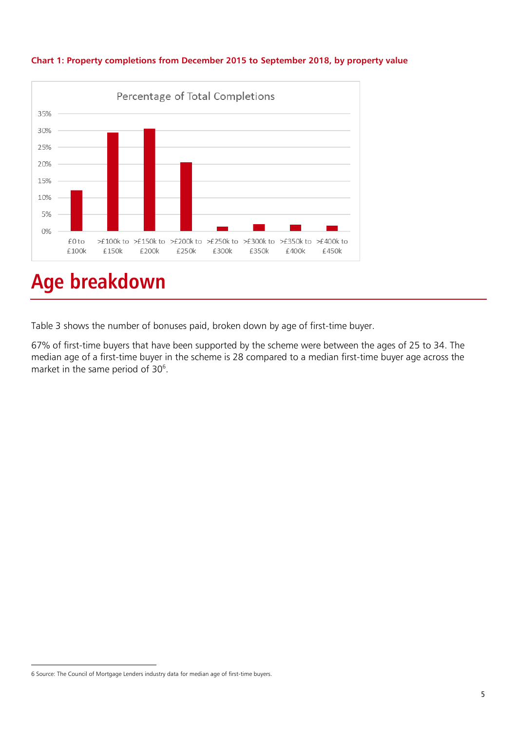

#### **Chart 1: Property completions from December 2015 to September 2018, by property value**

# **Age breakdown**

Table 3 shows the number of bonuses paid, broken down by age of first-time buyer.

67% of first-time buyers that have been supported by the scheme were between the ages of 25 to 34. The median age of a first-time buyer in the scheme is 28 compared to a median first-time buyer age across the market in the same period of 30<sup>6</sup>.

<sup>-</sup>6 Source: The Council of Mortgage Lenders industry data for median age of first-time buyers.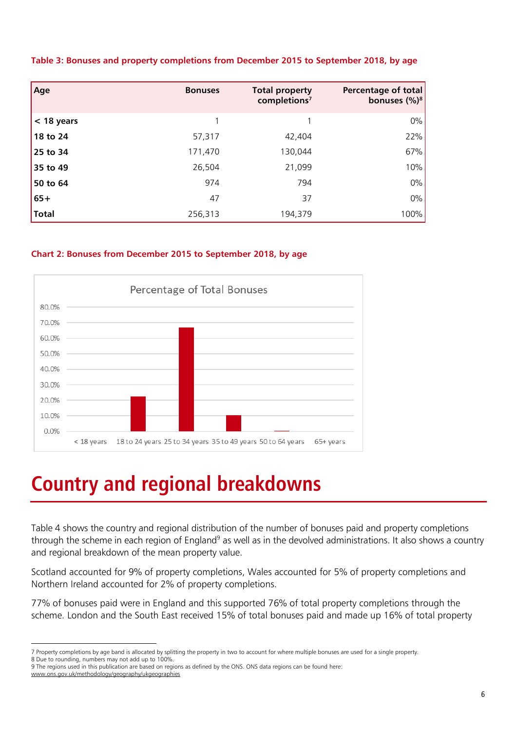| Age          | <b>Bonuses</b> | <b>Total property</b><br>completions <sup>7</sup> | Percentage of total<br>bonuses $(\%)^8$ |
|--------------|----------------|---------------------------------------------------|-----------------------------------------|
| $<$ 18 years |                |                                                   | $0\%$                                   |
| 18 to 24     | 57,317         | 42,404                                            | 22%                                     |
| 25 to 34     | 171,470        | 130,044                                           | 67%                                     |
| 35 to 49     | 26,504         | 21,099                                            | 10%                                     |
| 50 to 64     | 974            | 794                                               | $0\%$                                   |
| $65+$        | 47             | 37                                                | $0\%$                                   |
| <b>Total</b> | 256,313        | 194,379                                           | 100%                                    |

#### **Table 3: Bonuses and property completions from December 2015 to September 2018, by age**

#### **Chart 2: Bonuses from December 2015 to September 2018, by age**



# **Country and regional breakdowns**

Table 4 shows the country and regional distribution of the number of bonuses paid and property completions through the scheme in each region of England<sup>9</sup> as well as in the devolved administrations. It also shows a country and regional breakdown of the mean property value.

Scotland accounted for 9% of property completions, Wales accounted for 5% of property completions and Northern Ireland accounted for 2% of property completions.

77% of bonuses paid were in England and this supported 76% of total property completions through the scheme. London and the South East received 15% of total bonuses paid and made up 16% of total property

www.ons.gov.uk/methodology/geography/ukgeographies

<sup>-</sup>7 Property completions by age band is allocated by splitting the property in two to account for where multiple bonuses are used for a single property.

<sup>8</sup> Due to rounding, numbers may not add up to 100%.

<sup>9</sup> The regions used in this publication are based on regions as defined by the ONS. ONS data regions can be found here: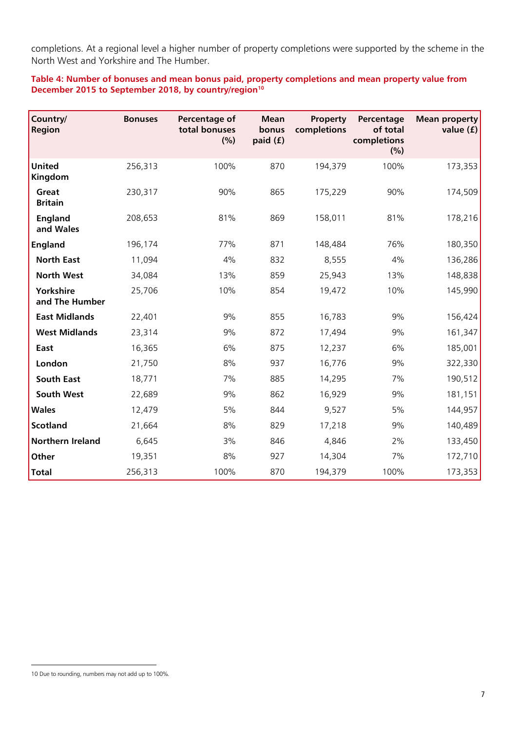completions. At a regional level a higher number of property completions were supported by the scheme in the North West and Yorkshire and The Humber.

**Table 4: Number of bonuses and mean bonus paid, property completions and mean property value from December 2015 to September 2018, by country/region<sup>10</sup>**

| Country/<br><b>Region</b>   | <b>Bonuses</b> | Percentage of<br>total bonuses<br>(% ) | <b>Mean</b><br>bonus<br>paid (f) | Property<br>completions | Percentage<br>of total<br>completions<br>(%) | Mean property<br>value $(f)$ |
|-----------------------------|----------------|----------------------------------------|----------------------------------|-------------------------|----------------------------------------------|------------------------------|
| <b>United</b><br>Kingdom    | 256,313        | 100%                                   | 870                              | 194,379                 | 100%                                         | 173,353                      |
| Great<br><b>Britain</b>     | 230,317        | 90%                                    | 865                              | 175,229                 | 90%                                          | 174,509                      |
| <b>England</b><br>and Wales | 208,653        | 81%                                    | 869                              | 158,011                 | 81%                                          | 178,216                      |
| <b>England</b>              | 196,174        | 77%                                    | 871                              | 148,484                 | 76%                                          | 180,350                      |
| <b>North East</b>           | 11,094         | 4%                                     | 832                              | 8,555                   | 4%                                           | 136,286                      |
| <b>North West</b>           | 34,084         | 13%                                    | 859                              | 25,943                  | 13%                                          | 148,838                      |
| Yorkshire<br>and The Humber | 25,706         | 10%                                    | 854                              | 19,472                  | 10%                                          | 145,990                      |
| <b>East Midlands</b>        | 22,401         | 9%                                     | 855                              | 16,783                  | 9%                                           | 156,424                      |
| <b>West Midlands</b>        | 23,314         | 9%                                     | 872                              | 17,494                  | 9%                                           | 161,347                      |
| East                        | 16,365         | 6%                                     | 875                              | 12,237                  | 6%                                           | 185,001                      |
| London                      | 21,750         | 8%                                     | 937                              | 16,776                  | 9%                                           | 322,330                      |
| <b>South East</b>           | 18,771         | 7%                                     | 885                              | 14,295                  | 7%                                           | 190,512                      |
| South West                  | 22,689         | 9%                                     | 862                              | 16,929                  | 9%                                           | 181,151                      |
| <b>Wales</b>                | 12,479         | 5%                                     | 844                              | 9,527                   | 5%                                           | 144,957                      |
| <b>Scotland</b>             | 21,664         | 8%                                     | 829                              | 17,218                  | 9%                                           | 140,489                      |
| <b>Northern Ireland</b>     | 6,645          | 3%                                     | 846                              | 4,846                   | 2%                                           | 133,450                      |
| Other                       | 19,351         | 8%                                     | 927                              | 14,304                  | 7%                                           | 172,710                      |
| <b>Total</b>                | 256,313        | 100%                                   | 870                              | 194,379                 | 100%                                         | 173,353                      |

-

<sup>10</sup> Due to rounding, numbers may not add up to 100%.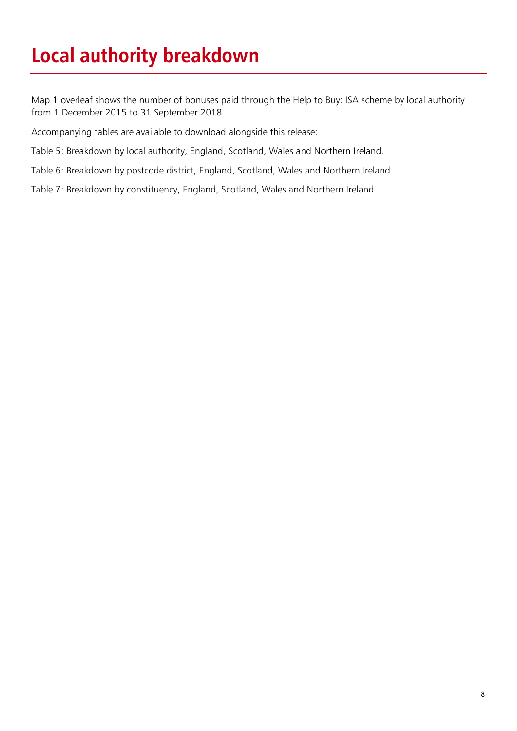# **Local authority breakdown**

Map 1 overleaf shows the number of bonuses paid through the Help to Buy: ISA scheme by local authority from 1 December 2015 to 31 September 2018.

Accompanying tables are available to download alongside this release:

Table 5: Breakdown by local authority, England, Scotland, Wales and Northern Ireland.

Table 6: Breakdown by postcode district, England, Scotland, Wales and Northern Ireland.

Table 7: Breakdown by constituency, England, Scotland, Wales and Northern Ireland.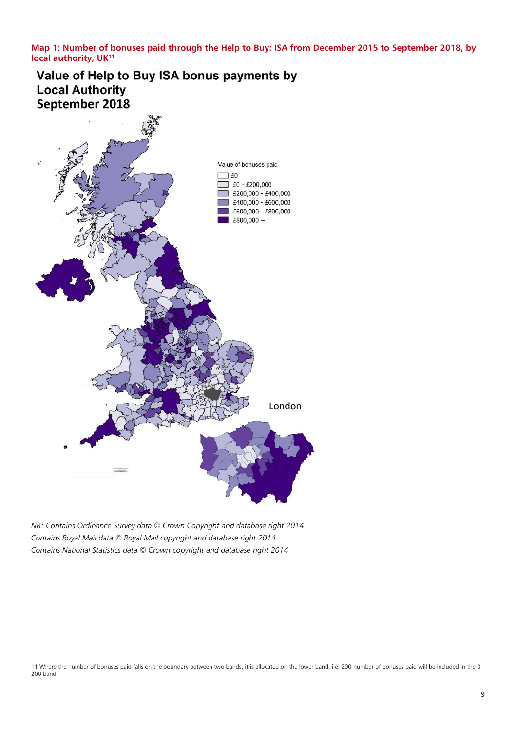**Map 1: Number of bonuses paid through the Help to Buy: ISA from December 2015 to September 2018, by local authority, UK<sup>11</sup>**

Value of Help to Buy ISA bonus payments by **Local Authority** September 2018



*NB: Contains Ordinance Survey data © Crown Copyright and database right 2014 Contains Royal Mail data © Royal Mail copyright and database right 2014 Contains National Statistics data © Crown copyright and database right 2014*

<sup>-</sup>11 Where the number of bonuses paid falls on the boundary between two bands, it is allocated on the lower band, i.e. 200 number of bonuses paid will be included in the 0- 200 band.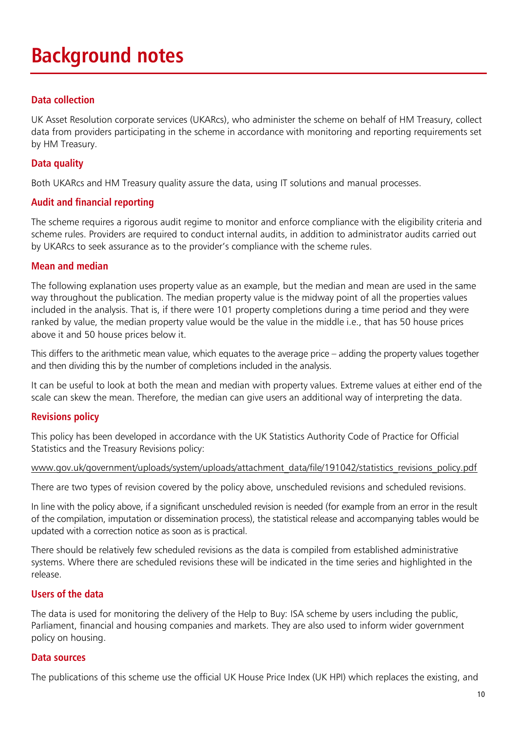# **Background notes**

# **Data collection**

UK Asset Resolution corporate services (UKARcs), who administer the scheme on behalf of HM Treasury, collect data from providers participating in the scheme in accordance with monitoring and reporting requirements set by HM Treasury.

### **Data quality**

Both UKARcs and HM Treasury quality assure the data, using IT solutions and manual processes.

### **Audit and financial reporting**

The scheme requires a rigorous audit regime to monitor and enforce compliance with the eligibility criteria and scheme rules. Providers are required to conduct internal audits, in addition to administrator audits carried out by UKARcs to seek assurance as to the provider's compliance with the scheme rules.

### **Mean and median**

The following explanation uses property value as an example, but the median and mean are used in the same way throughout the publication. The median property value is the midway point of all the properties values included in the analysis. That is, if there were 101 property completions during a time period and they were ranked by value, the median property value would be the value in the middle i.e., that has 50 house prices above it and 50 house prices below it.

This differs to the arithmetic mean value, which equates to the average price – adding the property values together and then dividing this by the number of completions included in the analysis.

It can be useful to look at both the mean and median with property values. Extreme values at either end of the scale can skew the mean. Therefore, the median can give users an additional way of interpreting the data.

### **Revisions policy**

This policy has been developed in accordance with the UK Statistics Authority Code of Practice for Official Statistics and the Treasury Revisions policy:

#### [www.gov.uk/government/uploads/system/uploads/attachment\\_data/file/191042/statistics\\_revisions\\_policy.pdf](http://www.gov.uk/government/uploads/system/uploads/attachment_data/file/191042/statistics_revisions_policy.pdf)

There are two types of revision covered by the policy above, unscheduled revisions and scheduled revisions.

In line with the policy above, if a significant unscheduled revision is needed (for example from an error in the result of the compilation, imputation or dissemination process), the statistical release and accompanying tables would be updated with a correction notice as soon as is practical.

There should be relatively few scheduled revisions as the data is compiled from established administrative systems. Where there are scheduled revisions these will be indicated in the time series and highlighted in the release.

### **Users of the data**

The data is used for monitoring the delivery of the Help to Buy: ISA scheme by users including the public, Parliament, financial and housing companies and markets. They are also used to inform wider government policy on housing.

### **Data sources**

The publications of this scheme use the official UK House Price Index (UK HPI) which replaces the existing, and